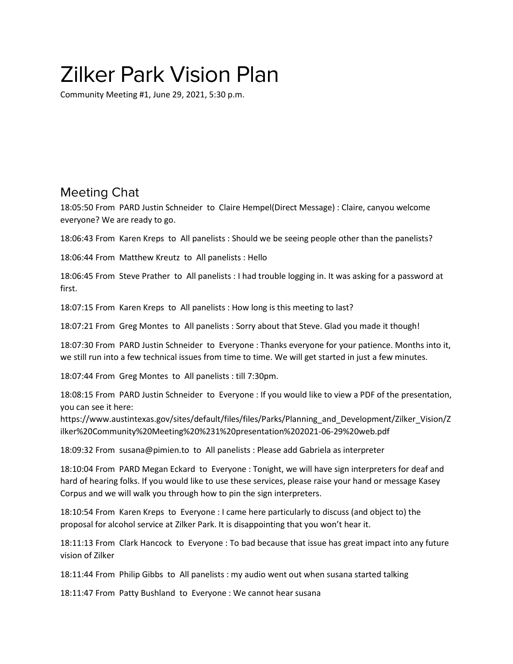## Zilker Park Vision Plan

Community Meeting #1, June 29, 2021, 5:30 p.m.

## Meeting Chat

18:05:50 From PARD Justin Schneider to Claire Hempel(Direct Message) : Claire, canyou welcome everyone? We are ready to go.

18:06:43 From Karen Kreps to All panelists : Should we be seeing people other than the panelists?

18:06:44 From Matthew Kreutz to All panelists : Hello

18:06:45 From Steve Prather to All panelists : I had trouble logging in. It was asking for a password at first.

18:07:15 From Karen Kreps to All panelists : How long is this meeting to last?

18:07:21 From Greg Montes to All panelists : Sorry about that Steve. Glad you made it though!

18:07:30 From PARD Justin Schneider to Everyone : Thanks everyone for your patience. Months into it, we still run into a few technical issues from time to time. We will get started in just a few minutes.

18:07:44 From Greg Montes to All panelists : till 7:30pm.

18:08:15 From PARD Justin Schneider to Everyone : If you would like to view a PDF of the presentation, you can see it here:

https://www.austintexas.gov/sites/default/files/files/Parks/Planning\_and\_Development/Zilker\_Vision/Z ilker%20Community%20Meeting%20%231%20presentation%202021-06-29%20web.pdf

18:09:32 From susana@pimien.to to All panelists : Please add Gabriela as interpreter

18:10:04 From PARD Megan Eckard to Everyone : Tonight, we will have sign interpreters for deaf and hard of hearing folks. If you would like to use these services, please raise your hand or message Kasey Corpus and we will walk you through how to pin the sign interpreters.

18:10:54 From Karen Kreps to Everyone : I came here particularly to discuss (and object to) the proposal for alcohol service at Zilker Park. It is disappointing that you won't hear it.

18:11:13 From Clark Hancock to Everyone : To bad because that issue has great impact into any future vision of Zilker

18:11:44 From Philip Gibbs to All panelists : my audio went out when susana started talking

18:11:47 From Patty Bushland to Everyone : We cannot hear susana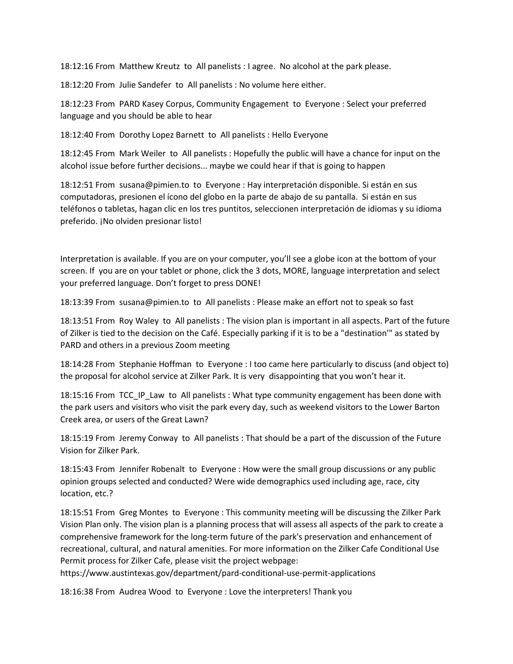18:12:16 From Matthew Kreutz to All panelists : I agree. No alcohol at the park please.

18:12:20 From Julie Sandefer to All panelists : No volume here either.

18:12:23 From PARD Kasey Corpus, Community Engagement to Everyone : Select your preferred language and you should be able to hear

18:12:40 From Dorothy Lopez Barnett to All panelists : Hello Everyone

18:12:45 From Mark Weiler to All panelists : Hopefully the public will have a chance for input on the alcohol issue before further decisions... maybe we could hear if that is going to happen

18:12:51 From susana@pimien.to to Everyone : Hay interpretación disponible. Si están en sus computadoras, presionen el ícono del globo en la parte de abajo de su pantalla. Si están en sus teléfonos o tabletas, hagan clic en los tres puntitos, seleccionen interpretación de idiomas y su idioma preferido. ¡No olviden presionar listo!

Interpretation is available. If you are on your computer, you'll see a globe icon at the bottom of your screen. If you are on your tablet or phone, click the 3 dots, MORE, language interpretation and select your preferred language. Don't forget to press DONE!

18:13:39 From susana@pimien.to to All panelists : Please make an effort not to speak so fast

18:13:51 From Roy Waley to All panelists : The vision plan is important in all aspects. Part of the future of Zilker is tied to the decision on the Café. Especially parking if it is to be a "destination'" as stated by PARD and others in a previous Zoom meeting

18:14:28 From Stephanie Hoffman to Everyone : I too came here particularly to discuss (and object to) the proposal for alcohol service at Zilker Park. It is very disappointing that you won't hear it.

18:15:16 From TCC\_IP\_Law to All panelists : What type community engagement has been done with the park users and visitors who visit the park every day, such as weekend visitors to the Lower Barton Creek area, or users of the Great Lawn?

18:15:19 From Jeremy Conway to All panelists : That should be a part of the discussion of the Future Vision for Zilker Park.

18:15:43 From Jennifer Robenalt to Everyone : How were the small group discussions or any public opinion groups selected and conducted? Were wide demographics used including age, race, city location, etc.?

18:15:51 From Greg Montes to Everyone : This community meeting will be discussing the Zilker Park Vision Plan only. The vision plan is a planning process that will assess all aspects of the park to create a comprehensive framework for the long-term future of the park's preservation and enhancement of recreational, cultural, and natural amenities. For more information on the Zilker Cafe Conditional Use Permit process for Zilker Cafe, please visit the project webpage:

https://www.austintexas.gov/department/pard-conditional-use-permit-applications

18:16:38 From Audrea Wood to Everyone : Love the interpreters! Thank you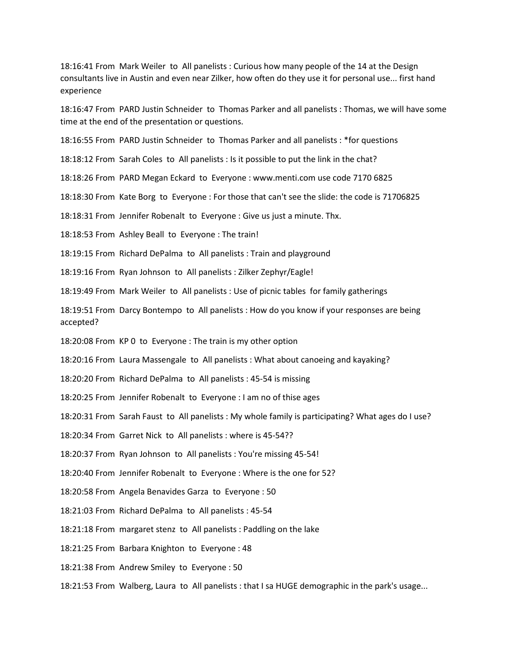18:16:41 From Mark Weiler to All panelists : Curious how many people of the 14 at the Design consultants live in Austin and even near Zilker, how often do they use it for personal use... first hand experience

18:16:47 From PARD Justin Schneider to Thomas Parker and all panelists : Thomas, we will have some time at the end of the presentation or questions.

18:16:55 From PARD Justin Schneider to Thomas Parker and all panelists : \*for questions

18:18:12 From Sarah Coles to All panelists : Is it possible to put the link in the chat?

18:18:26 From PARD Megan Eckard to Everyone : www.menti.com use code 7170 6825

18:18:30 From Kate Borg to Everyone : For those that can't see the slide: the code is 71706825

18:18:31 From Jennifer Robenalt to Everyone : Give us just a minute. Thx.

18:18:53 From Ashley Beall to Everyone : The train!

18:19:15 From Richard DePalma to All panelists : Train and playground

18:19:16 From Ryan Johnson to All panelists : Zilker Zephyr/Eagle!

18:19:49 From Mark Weiler to All panelists : Use of picnic tables for family gatherings

18:19:51 From Darcy Bontempo to All panelists : How do you know if your responses are being accepted?

18:20:08 From KP 0 to Everyone : The train is my other option

18:20:16 From Laura Massengale to All panelists : What about canoeing and kayaking?

18:20:20 From Richard DePalma to All panelists : 45-54 is missing

18:20:25 From Jennifer Robenalt to Everyone : I am no of thise ages

18:20:31 From Sarah Faust to All panelists : My whole family is participating? What ages do I use?

18:20:34 From Garret Nick to All panelists : where is 45-54??

18:20:37 From Ryan Johnson to All panelists : You're missing 45-54!

18:20:40 From Jennifer Robenalt to Everyone : Where is the one for 52?

18:20:58 From Angela Benavides Garza to Everyone : 50

18:21:03 From Richard DePalma to All panelists : 45-54

18:21:18 From margaret stenz to All panelists : Paddling on the lake

18:21:25 From Barbara Knighton to Everyone : 48

18:21:38 From Andrew Smiley to Everyone : 50

18:21:53 From Walberg, Laura to All panelists : that I sa HUGE demographic in the park's usage...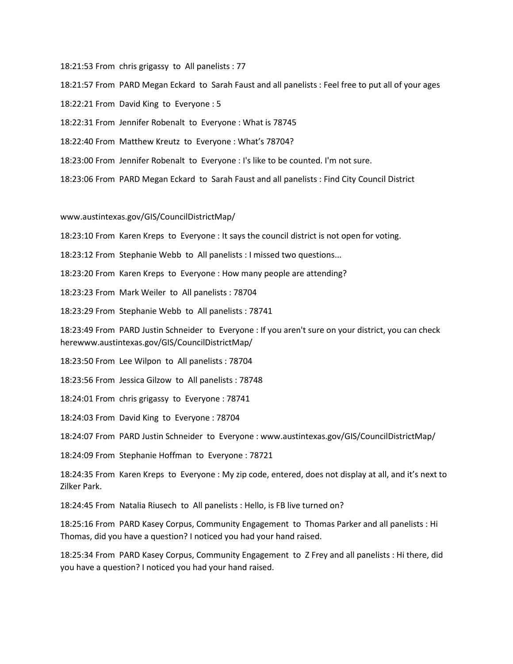18:21:53 From chris grigassy to All panelists : 77

18:21:57 From PARD Megan Eckard to Sarah Faust and all panelists : Feel free to put all of your ages

18:22:21 From David King to Everyone : 5

18:22:31 From Jennifer Robenalt to Everyone : What is 78745

18:22:40 From Matthew Kreutz to Everyone : What's 78704?

18:23:00 From Jennifer Robenalt to Everyone : I's like to be counted. I'm not sure.

18:23:06 From PARD Megan Eckard to Sarah Faust and all panelists : Find City Council District

## www.austintexas.gov/GIS/CouncilDistrictMap/

18:23:10 From Karen Kreps to Everyone : It says the council district is not open for voting.

18:23:12 From Stephanie Webb to All panelists : I missed two questions...

18:23:20 From Karen Kreps to Everyone : How many people are attending?

18:23:23 From Mark Weiler to All panelists : 78704

18:23:29 From Stephanie Webb to All panelists : 78741

18:23:49 From PARD Justin Schneider to Everyone : If you aren't sure on your district, you can check herewww.austintexas.gov/GIS/CouncilDistrictMap/

18:23:50 From Lee Wilpon to All panelists : 78704

18:23:56 From Jessica Gilzow to All panelists : 78748

18:24:01 From chris grigassy to Everyone : 78741

18:24:03 From David King to Everyone : 78704

18:24:07 From PARD Justin Schneider to Everyone : www.austintexas.gov/GIS/CouncilDistrictMap/

18:24:09 From Stephanie Hoffman to Everyone : 78721

18:24:35 From Karen Kreps to Everyone : My zip code, entered, does not display at all, and it's next to Zilker Park.

18:24:45 From Natalia Riusech to All panelists : Hello, is FB live turned on?

18:25:16 From PARD Kasey Corpus, Community Engagement to Thomas Parker and all panelists : Hi Thomas, did you have a question? I noticed you had your hand raised.

18:25:34 From PARD Kasey Corpus, Community Engagement to Z Frey and all panelists : Hi there, did you have a question? I noticed you had your hand raised.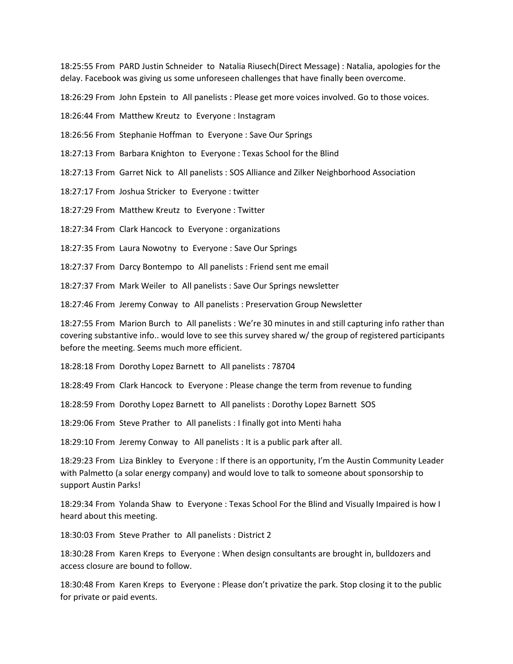18:25:55 From PARD Justin Schneider to Natalia Riusech(Direct Message) : Natalia, apologies for the delay. Facebook was giving us some unforeseen challenges that have finally been overcome.

18:26:29 From John Epstein to All panelists : Please get more voices involved. Go to those voices.

18:26:44 From Matthew Kreutz to Everyone : Instagram

18:26:56 From Stephanie Hoffman to Everyone : Save Our Springs

18:27:13 From Barbara Knighton to Everyone : Texas School for the Blind

18:27:13 From Garret Nick to All panelists : SOS Alliance and Zilker Neighborhood Association

18:27:17 From Joshua Stricker to Everyone : twitter

18:27:29 From Matthew Kreutz to Everyone : Twitter

18:27:34 From Clark Hancock to Everyone : organizations

18:27:35 From Laura Nowotny to Everyone : Save Our Springs

18:27:37 From Darcy Bontempo to All panelists : Friend sent me email

18:27:37 From Mark Weiler to All panelists : Save Our Springs newsletter

18:27:46 From Jeremy Conway to All panelists : Preservation Group Newsletter

18:27:55 From Marion Burch to All panelists : We're 30 minutes in and still capturing info rather than covering substantive info.. would love to see this survey shared w/ the group of registered participants before the meeting. Seems much more efficient.

18:28:18 From Dorothy Lopez Barnett to All panelists : 78704

18:28:49 From Clark Hancock to Everyone : Please change the term from revenue to funding

18:28:59 From Dorothy Lopez Barnett to All panelists : Dorothy Lopez Barnett SOS

18:29:06 From Steve Prather to All panelists : I finally got into Menti haha

18:29:10 From Jeremy Conway to All panelists : It is a public park after all.

18:29:23 From Liza Binkley to Everyone : If there is an opportunity, I'm the Austin Community Leader with Palmetto (a solar energy company) and would love to talk to someone about sponsorship to support Austin Parks!

18:29:34 From Yolanda Shaw to Everyone : Texas School For the Blind and Visually Impaired is how I heard about this meeting.

18:30:03 From Steve Prather to All panelists : District 2

18:30:28 From Karen Kreps to Everyone : When design consultants are brought in, bulldozers and access closure are bound to follow.

18:30:48 From Karen Kreps to Everyone : Please don't privatize the park. Stop closing it to the public for private or paid events.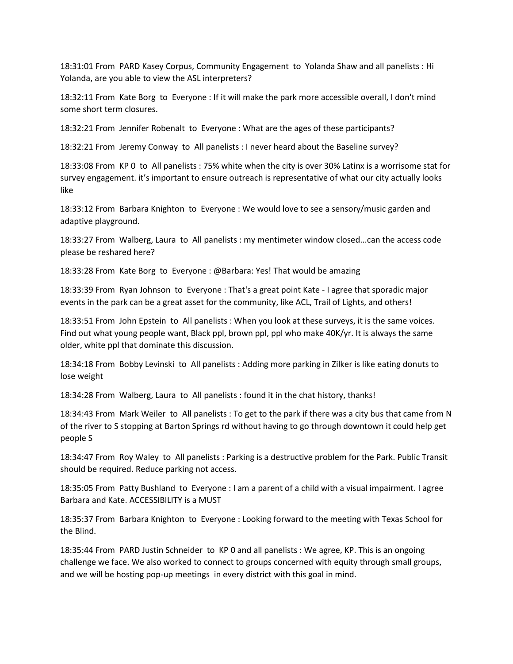18:31:01 From PARD Kasey Corpus, Community Engagement to Yolanda Shaw and all panelists : Hi Yolanda, are you able to view the ASL interpreters?

18:32:11 From Kate Borg to Everyone : If it will make the park more accessible overall, I don't mind some short term closures.

18:32:21 From Jennifer Robenalt to Everyone : What are the ages of these participants?

18:32:21 From Jeremy Conway to All panelists : I never heard about the Baseline survey?

18:33:08 From KP 0 to All panelists : 75% white when the city is over 30% Latinx is a worrisome stat for survey engagement. it's important to ensure outreach is representative of what our city actually looks like

18:33:12 From Barbara Knighton to Everyone : We would love to see a sensory/music garden and adaptive playground.

18:33:27 From Walberg, Laura to All panelists : my mentimeter window closed...can the access code please be reshared here?

18:33:28 From Kate Borg to Everyone : @Barbara: Yes! That would be amazing

18:33:39 From Ryan Johnson to Everyone : That's a great point Kate - I agree that sporadic major events in the park can be a great asset for the community, like ACL, Trail of Lights, and others!

18:33:51 From John Epstein to All panelists : When you look at these surveys, it is the same voices. Find out what young people want, Black ppl, brown ppl, ppl who make 40K/yr. It is always the same older, white ppl that dominate this discussion.

18:34:18 From Bobby Levinski to All panelists : Adding more parking in Zilker is like eating donuts to lose weight

18:34:28 From Walberg, Laura to All panelists : found it in the chat history, thanks!

18:34:43 From Mark Weiler to All panelists : To get to the park if there was a city bus that came from N of the river to S stopping at Barton Springs rd without having to go through downtown it could help get people S

18:34:47 From Roy Waley to All panelists : Parking is a destructive problem for the Park. Public Transit should be required. Reduce parking not access.

18:35:05 From Patty Bushland to Everyone : I am a parent of a child with a visual impairment. I agree Barbara and Kate. ACCESSIBILITY is a MUST

18:35:37 From Barbara Knighton to Everyone : Looking forward to the meeting with Texas School for the Blind.

18:35:44 From PARD Justin Schneider to KP 0 and all panelists : We agree, KP. This is an ongoing challenge we face. We also worked to connect to groups concerned with equity through small groups, and we will be hosting pop-up meetings in every district with this goal in mind.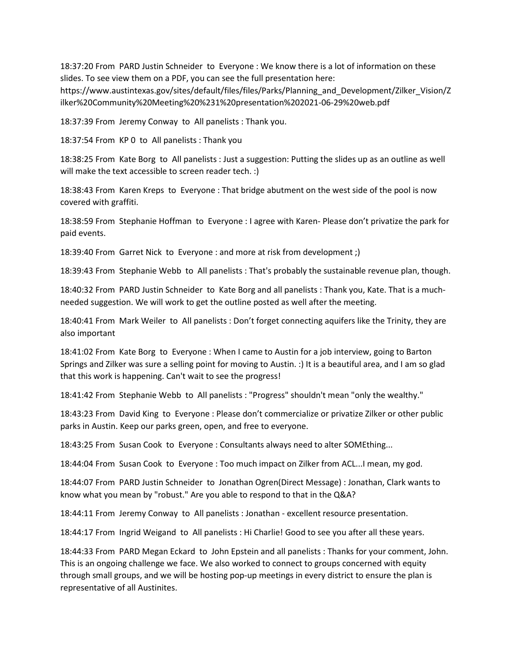18:37:20 From PARD Justin Schneider to Everyone : We know there is a lot of information on these slides. To see view them on a PDF, you can see the full presentation here:

https://www.austintexas.gov/sites/default/files/files/Parks/Planning\_and\_Development/Zilker\_Vision/Z ilker%20Community%20Meeting%20%231%20presentation%202021-06-29%20web.pdf

18:37:39 From Jeremy Conway to All panelists : Thank you.

18:37:54 From KP 0 to All panelists : Thank you

18:38:25 From Kate Borg to All panelists : Just a suggestion: Putting the slides up as an outline as well will make the text accessible to screen reader tech. :)

18:38:43 From Karen Kreps to Everyone : That bridge abutment on the west side of the pool is now covered with graffiti.

18:38:59 From Stephanie Hoffman to Everyone : I agree with Karen- Please don't privatize the park for paid events.

18:39:40 From Garret Nick to Everyone : and more at risk from development ;)

18:39:43 From Stephanie Webb to All panelists : That's probably the sustainable revenue plan, though.

18:40:32 From PARD Justin Schneider to Kate Borg and all panelists : Thank you, Kate. That is a muchneeded suggestion. We will work to get the outline posted as well after the meeting.

18:40:41 From Mark Weiler to All panelists : Don't forget connecting aquifers like the Trinity, they are also important

18:41:02 From Kate Borg to Everyone : When I came to Austin for a job interview, going to Barton Springs and Zilker was sure a selling point for moving to Austin. :) It is a beautiful area, and I am so glad that this work is happening. Can't wait to see the progress!

18:41:42 From Stephanie Webb to All panelists : "Progress" shouldn't mean "only the wealthy."

18:43:23 From David King to Everyone : Please don't commercialize or privatize Zilker or other public parks in Austin. Keep our parks green, open, and free to everyone.

18:43:25 From Susan Cook to Everyone : Consultants always need to alter SOMEthing...

18:44:04 From Susan Cook to Everyone : Too much impact on Zilker from ACL...I mean, my god.

18:44:07 From PARD Justin Schneider to Jonathan Ogren(Direct Message) : Jonathan, Clark wants to know what you mean by "robust." Are you able to respond to that in the Q&A?

18:44:11 From Jeremy Conway to All panelists : Jonathan - excellent resource presentation.

18:44:17 From Ingrid Weigand to All panelists : Hi Charlie! Good to see you after all these years.

18:44:33 From PARD Megan Eckard to John Epstein and all panelists : Thanks for your comment, John. This is an ongoing challenge we face. We also worked to connect to groups concerned with equity through small groups, and we will be hosting pop-up meetings in every district to ensure the plan is representative of all Austinites.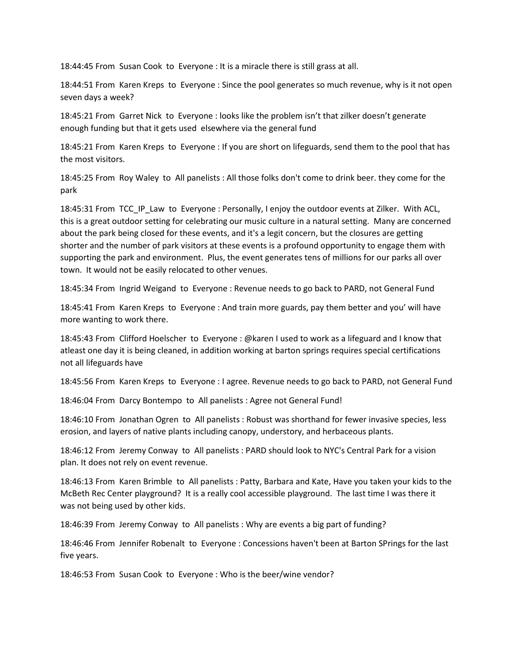18:44:45 From Susan Cook to Everyone : It is a miracle there is still grass at all.

18:44:51 From Karen Kreps to Everyone : Since the pool generates so much revenue, why is it not open seven days a week?

18:45:21 From Garret Nick to Everyone : looks like the problem isn't that zilker doesn't generate enough funding but that it gets used elsewhere via the general fund

18:45:21 From Karen Kreps to Everyone : If you are short on lifeguards, send them to the pool that has the most visitors.

18:45:25 From Roy Waley to All panelists : All those folks don't come to drink beer. they come for the park

18:45:31 From TCC IP Law to Everyone : Personally, I enjoy the outdoor events at Zilker. With ACL, this is a great outdoor setting for celebrating our music culture in a natural setting. Many are concerned about the park being closed for these events, and it's a legit concern, but the closures are getting shorter and the number of park visitors at these events is a profound opportunity to engage them with supporting the park and environment. Plus, the event generates tens of millions for our parks all over town. It would not be easily relocated to other venues.

18:45:34 From Ingrid Weigand to Everyone : Revenue needs to go back to PARD, not General Fund

18:45:41 From Karen Kreps to Everyone : And train more guards, pay them better and you' will have more wanting to work there.

18:45:43 From Clifford Hoelscher to Everyone : @karen I used to work as a lifeguard and I know that atleast one day it is being cleaned, in addition working at barton springs requires special certifications not all lifeguards have

18:45:56 From Karen Kreps to Everyone : I agree. Revenue needs to go back to PARD, not General Fund

18:46:04 From Darcy Bontempo to All panelists : Agree not General Fund!

18:46:10 From Jonathan Ogren to All panelists : Robust was shorthand for fewer invasive species, less erosion, and layers of native plants including canopy, understory, and herbaceous plants.

18:46:12 From Jeremy Conway to All panelists : PARD should look to NYC's Central Park for a vision plan. It does not rely on event revenue.

18:46:13 From Karen Brimble to All panelists : Patty, Barbara and Kate, Have you taken your kids to the McBeth Rec Center playground? It is a really cool accessible playground. The last time I was there it was not being used by other kids.

18:46:39 From Jeremy Conway to All panelists : Why are events a big part of funding?

18:46:46 From Jennifer Robenalt to Everyone : Concessions haven't been at Barton SPrings for the last five years.

18:46:53 From Susan Cook to Everyone : Who is the beer/wine vendor?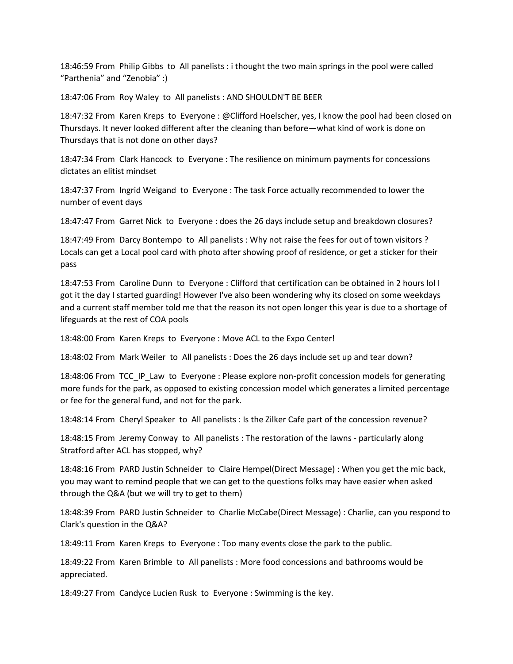18:46:59 From Philip Gibbs to All panelists : i thought the two main springs in the pool were called "Parthenia" and "Zenobia" :)

18:47:06 From Roy Waley to All panelists : AND SHOULDN'T BE BEER

18:47:32 From Karen Kreps to Everyone : @Clifford Hoelscher, yes, I know the pool had been closed on Thursdays. It never looked different after the cleaning than before—what kind of work is done on Thursdays that is not done on other days?

18:47:34 From Clark Hancock to Everyone : The resilience on minimum payments for concessions dictates an elitist mindset

18:47:37 From Ingrid Weigand to Everyone : The task Force actually recommended to lower the number of event days

18:47:47 From Garret Nick to Everyone : does the 26 days include setup and breakdown closures?

18:47:49 From Darcy Bontempo to All panelists : Why not raise the fees for out of town visitors ? Locals can get a Local pool card with photo after showing proof of residence, or get a sticker for their pass

18:47:53 From Caroline Dunn to Everyone : Clifford that certification can be obtained in 2 hours lol I got it the day I started guarding! However I've also been wondering why its closed on some weekdays and a current staff member told me that the reason its not open longer this year is due to a shortage of lifeguards at the rest of COA pools

18:48:00 From Karen Kreps to Everyone : Move ACL to the Expo Center!

18:48:02 From Mark Weiler to All panelists : Does the 26 days include set up and tear down?

18:48:06 From TCC IP Law to Everyone : Please explore non-profit concession models for generating more funds for the park, as opposed to existing concession model which generates a limited percentage or fee for the general fund, and not for the park.

18:48:14 From Cheryl Speaker to All panelists : Is the Zilker Cafe part of the concession revenue?

18:48:15 From Jeremy Conway to All panelists : The restoration of the lawns - particularly along Stratford after ACL has stopped, why?

18:48:16 From PARD Justin Schneider to Claire Hempel(Direct Message) : When you get the mic back, you may want to remind people that we can get to the questions folks may have easier when asked through the Q&A (but we will try to get to them)

18:48:39 From PARD Justin Schneider to Charlie McCabe(Direct Message) : Charlie, can you respond to Clark's question in the Q&A?

18:49:11 From Karen Kreps to Everyone : Too many events close the park to the public.

18:49:22 From Karen Brimble to All panelists : More food concessions and bathrooms would be appreciated.

18:49:27 From Candyce Lucien Rusk to Everyone : Swimming is the key.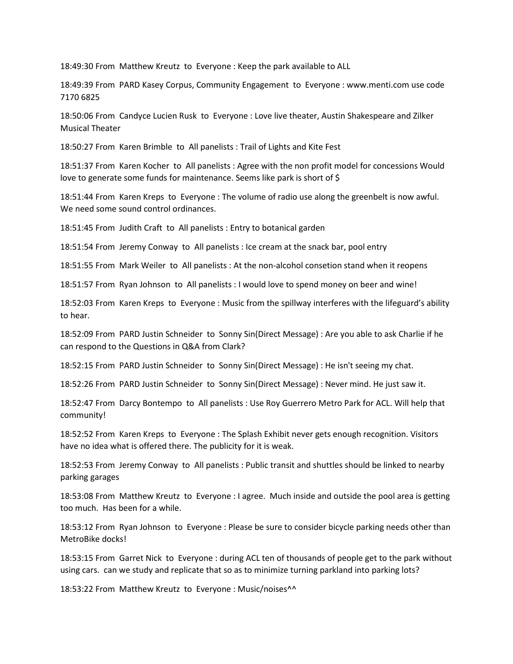18:49:30 From Matthew Kreutz to Everyone : Keep the park available to ALL

18:49:39 From PARD Kasey Corpus, Community Engagement to Everyone : www.menti.com use code 7170 6825

18:50:06 From Candyce Lucien Rusk to Everyone : Love live theater, Austin Shakespeare and Zilker Musical Theater

18:50:27 From Karen Brimble to All panelists : Trail of Lights and Kite Fest

18:51:37 From Karen Kocher to All panelists : Agree with the non profit model for concessions Would love to generate some funds for maintenance. Seems like park is short of \$

18:51:44 From Karen Kreps to Everyone : The volume of radio use along the greenbelt is now awful. We need some sound control ordinances.

18:51:45 From Judith Craft to All panelists : Entry to botanical garden

18:51:54 From Jeremy Conway to All panelists : Ice cream at the snack bar, pool entry

18:51:55 From Mark Weiler to All panelists : At the non-alcohol consetion stand when it reopens

18:51:57 From Ryan Johnson to All panelists : I would love to spend money on beer and wine!

18:52:03 From Karen Kreps to Everyone : Music from the spillway interferes with the lifeguard's ability to hear.

18:52:09 From PARD Justin Schneider to Sonny Sin(Direct Message) : Are you able to ask Charlie if he can respond to the Questions in Q&A from Clark?

18:52:15 From PARD Justin Schneider to Sonny Sin(Direct Message) : He isn't seeing my chat.

18:52:26 From PARD Justin Schneider to Sonny Sin(Direct Message) : Never mind. He just saw it.

18:52:47 From Darcy Bontempo to All panelists : Use Roy Guerrero Metro Park for ACL. Will help that community!

18:52:52 From Karen Kreps to Everyone : The Splash Exhibit never gets enough recognition. Visitors have no idea what is offered there. The publicity for it is weak.

18:52:53 From Jeremy Conway to All panelists : Public transit and shuttles should be linked to nearby parking garages

18:53:08 From Matthew Kreutz to Everyone : I agree. Much inside and outside the pool area is getting too much. Has been for a while.

18:53:12 From Ryan Johnson to Everyone : Please be sure to consider bicycle parking needs other than MetroBike docks!

18:53:15 From Garret Nick to Everyone : during ACL ten of thousands of people get to the park without using cars. can we study and replicate that so as to minimize turning parkland into parking lots?

18:53:22 From Matthew Kreutz to Everyone : Music/noises^^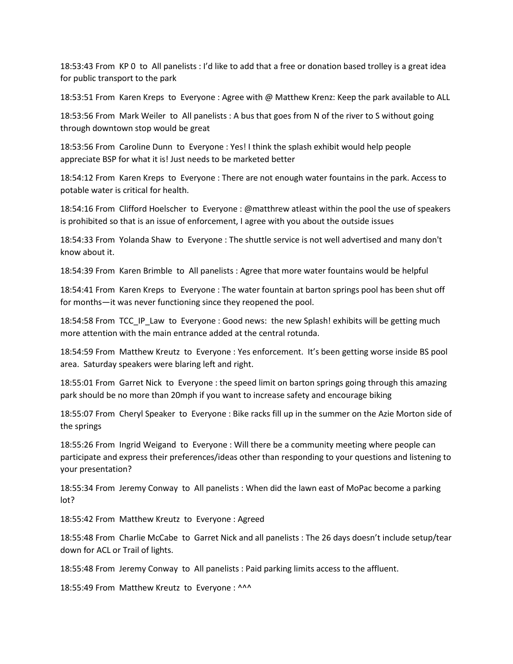18:53:43 From KP 0 to All panelists : I'd like to add that a free or donation based trolley is a great idea for public transport to the park

18:53:51 From Karen Kreps to Everyone : Agree with @ Matthew Krenz: Keep the park available to ALL

18:53:56 From Mark Weiler to All panelists : A bus that goes from N of the river to S without going through downtown stop would be great

18:53:56 From Caroline Dunn to Everyone : Yes! I think the splash exhibit would help people appreciate BSP for what it is! Just needs to be marketed better

18:54:12 From Karen Kreps to Everyone : There are not enough water fountains in the park. Access to potable water is critical for health.

18:54:16 From Clifford Hoelscher to Everyone : @matthrew atleast within the pool the use of speakers is prohibited so that is an issue of enforcement, I agree with you about the outside issues

18:54:33 From Yolanda Shaw to Everyone : The shuttle service is not well advertised and many don't know about it.

18:54:39 From Karen Brimble to All panelists : Agree that more water fountains would be helpful

18:54:41 From Karen Kreps to Everyone : The water fountain at barton springs pool has been shut off for months—it was never functioning since they reopened the pool.

18:54:58 From TCC IP Law to Everyone : Good news: the new Splash! exhibits will be getting much more attention with the main entrance added at the central rotunda.

18:54:59 From Matthew Kreutz to Everyone : Yes enforcement. It's been getting worse inside BS pool area. Saturday speakers were blaring left and right.

18:55:01 From Garret Nick to Everyone : the speed limit on barton springs going through this amazing park should be no more than 20mph if you want to increase safety and encourage biking

18:55:07 From Cheryl Speaker to Everyone : Bike racks fill up in the summer on the Azie Morton side of the springs

18:55:26 From Ingrid Weigand to Everyone : Will there be a community meeting where people can participate and express their preferences/ideas other than responding to your questions and listening to your presentation?

18:55:34 From Jeremy Conway to All panelists : When did the lawn east of MoPac become a parking lot?

18:55:42 From Matthew Kreutz to Everyone : Agreed

18:55:48 From Charlie McCabe to Garret Nick and all panelists : The 26 days doesn't include setup/tear down for ACL or Trail of lights.

18:55:48 From Jeremy Conway to All panelists : Paid parking limits access to the affluent.

18:55:49 From Matthew Kreutz to Everyone: ^^^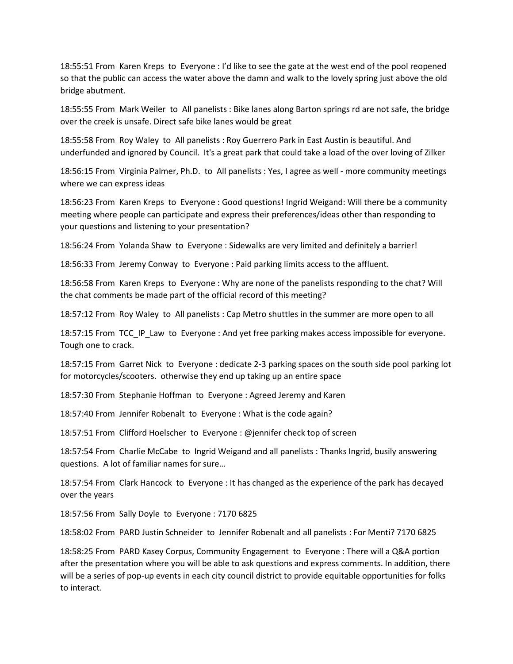18:55:51 From Karen Kreps to Everyone : I'd like to see the gate at the west end of the pool reopened so that the public can access the water above the damn and walk to the lovely spring just above the old bridge abutment.

18:55:55 From Mark Weiler to All panelists : Bike lanes along Barton springs rd are not safe, the bridge over the creek is unsafe. Direct safe bike lanes would be great

18:55:58 From Roy Waley to All panelists : Roy Guerrero Park in East Austin is beautiful. And underfunded and ignored by Council. It's a great park that could take a load of the over loving of Zilker

18:56:15 From Virginia Palmer, Ph.D. to All panelists : Yes, I agree as well - more community meetings where we can express ideas

18:56:23 From Karen Kreps to Everyone : Good questions! Ingrid Weigand: Will there be a community meeting where people can participate and express their preferences/ideas other than responding to your questions and listening to your presentation?

18:56:24 From Yolanda Shaw to Everyone : Sidewalks are very limited and definitely a barrier!

18:56:33 From Jeremy Conway to Everyone : Paid parking limits access to the affluent.

18:56:58 From Karen Kreps to Everyone : Why are none of the panelists responding to the chat? Will the chat comments be made part of the official record of this meeting?

18:57:12 From Roy Waley to All panelists : Cap Metro shuttles in the summer are more open to all

18:57:15 From TCC\_IP\_Law to Everyone : And yet free parking makes access impossible for everyone. Tough one to crack.

18:57:15 From Garret Nick to Everyone : dedicate 2-3 parking spaces on the south side pool parking lot for motorcycles/scooters. otherwise they end up taking up an entire space

18:57:30 From Stephanie Hoffman to Everyone : Agreed Jeremy and Karen

18:57:40 From Jennifer Robenalt to Everyone : What is the code again?

18:57:51 From Clifford Hoelscher to Everyone : @jennifer check top of screen

18:57:54 From Charlie McCabe to Ingrid Weigand and all panelists : Thanks Ingrid, busily answering questions. A lot of familiar names for sure…

18:57:54 From Clark Hancock to Everyone : It has changed as the experience of the park has decayed over the years

18:57:56 From Sally Doyle to Everyone : 7170 6825

18:58:02 From PARD Justin Schneider to Jennifer Robenalt and all panelists : For Menti? 7170 6825

18:58:25 From PARD Kasey Corpus, Community Engagement to Everyone : There will a Q&A portion after the presentation where you will be able to ask questions and express comments. In addition, there will be a series of pop-up events in each city council district to provide equitable opportunities for folks to interact.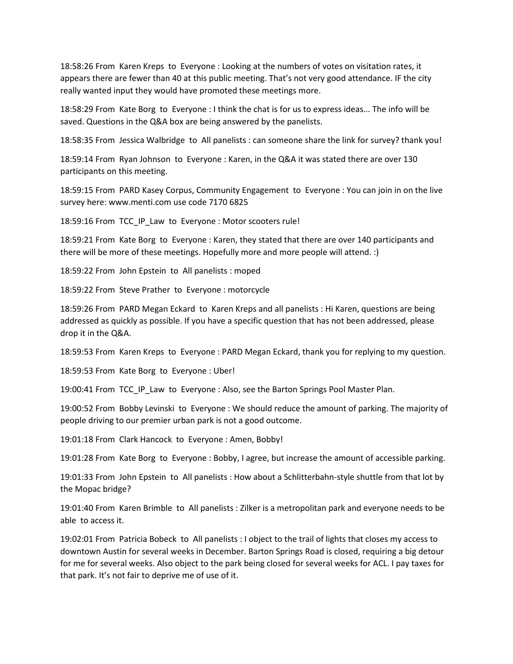18:58:26 From Karen Kreps to Everyone : Looking at the numbers of votes on visitation rates, it appears there are fewer than 40 at this public meeting. That's not very good attendance. IF the city really wanted input they would have promoted these meetings more.

18:58:29 From Kate Borg to Everyone : I think the chat is for us to express ideas... The info will be saved. Questions in the Q&A box are being answered by the panelists.

18:58:35 From Jessica Walbridge to All panelists : can someone share the link for survey? thank you!

18:59:14 From Ryan Johnson to Everyone : Karen, in the Q&A it was stated there are over 130 participants on this meeting.

18:59:15 From PARD Kasey Corpus, Community Engagement to Everyone : You can join in on the live survey here: www.menti.com use code 7170 6825

18:59:16 From TCC\_IP\_Law to Everyone : Motor scooters rule!

18:59:21 From Kate Borg to Everyone : Karen, they stated that there are over 140 participants and there will be more of these meetings. Hopefully more and more people will attend. :)

18:59:22 From John Epstein to All panelists : moped

18:59:22 From Steve Prather to Everyone : motorcycle

18:59:26 From PARD Megan Eckard to Karen Kreps and all panelists : Hi Karen, questions are being addressed as quickly as possible. If you have a specific question that has not been addressed, please drop it in the Q&A.

18:59:53 From Karen Kreps to Everyone : PARD Megan Eckard, thank you for replying to my question.

18:59:53 From Kate Borg to Everyone : Uber!

19:00:41 From TCC IP Law to Everyone : Also, see the Barton Springs Pool Master Plan.

19:00:52 From Bobby Levinski to Everyone : We should reduce the amount of parking. The majority of people driving to our premier urban park is not a good outcome.

19:01:18 From Clark Hancock to Everyone : Amen, Bobby!

19:01:28 From Kate Borg to Everyone : Bobby, I agree, but increase the amount of accessible parking.

19:01:33 From John Epstein to All panelists : How about a Schlitterbahn-style shuttle from that lot by the Mopac bridge?

19:01:40 From Karen Brimble to All panelists : Zilker is a metropolitan park and everyone needs to be able to access it.

19:02:01 From Patricia Bobeck to All panelists : I object to the trail of lights that closes my access to downtown Austin for several weeks in December. Barton Springs Road is closed, requiring a big detour for me for several weeks. Also object to the park being closed for several weeks for ACL. I pay taxes for that park. It's not fair to deprive me of use of it.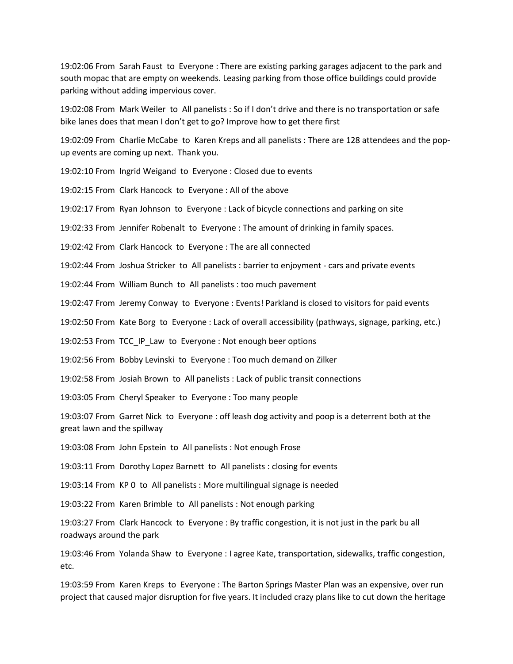19:02:06 From Sarah Faust to Everyone : There are existing parking garages adjacent to the park and south mopac that are empty on weekends. Leasing parking from those office buildings could provide parking without adding impervious cover.

19:02:08 From Mark Weiler to All panelists : So if I don't drive and there is no transportation or safe bike lanes does that mean I don't get to go? Improve how to get there first

19:02:09 From Charlie McCabe to Karen Kreps and all panelists : There are 128 attendees and the popup events are coming up next. Thank you.

19:02:10 From Ingrid Weigand to Everyone : Closed due to events

19:02:15 From Clark Hancock to Everyone : All of the above

19:02:17 From Ryan Johnson to Everyone : Lack of bicycle connections and parking on site

19:02:33 From Jennifer Robenalt to Everyone : The amount of drinking in family spaces.

19:02:42 From Clark Hancock to Everyone : The are all connected

19:02:44 From Joshua Stricker to All panelists : barrier to enjoyment - cars and private events

19:02:44 From William Bunch to All panelists : too much pavement

19:02:47 From Jeremy Conway to Everyone : Events! Parkland is closed to visitors for paid events

19:02:50 From Kate Borg to Everyone : Lack of overall accessibility (pathways, signage, parking, etc.)

19:02:53 From TCC\_IP\_Law to Everyone : Not enough beer options

19:02:56 From Bobby Levinski to Everyone : Too much demand on Zilker

19:02:58 From Josiah Brown to All panelists : Lack of public transit connections

19:03:05 From Cheryl Speaker to Everyone : Too many people

19:03:07 From Garret Nick to Everyone : off leash dog activity and poop is a deterrent both at the great lawn and the spillway

19:03:08 From John Epstein to All panelists : Not enough Frose

19:03:11 From Dorothy Lopez Barnett to All panelists : closing for events

19:03:14 From KP 0 to All panelists : More multilingual signage is needed

19:03:22 From Karen Brimble to All panelists : Not enough parking

19:03:27 From Clark Hancock to Everyone : By traffic congestion, it is not just in the park bu all roadways around the park

19:03:46 From Yolanda Shaw to Everyone : I agree Kate, transportation, sidewalks, traffic congestion, etc.

19:03:59 From Karen Kreps to Everyone : The Barton Springs Master Plan was an expensive, over run project that caused major disruption for five years. It included crazy plans like to cut down the heritage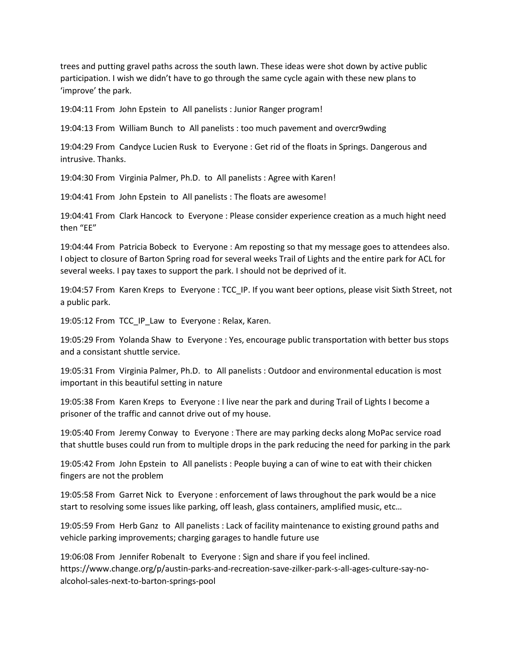trees and putting gravel paths across the south lawn. These ideas were shot down by active public participation. I wish we didn't have to go through the same cycle again with these new plans to 'improve' the park.

19:04:11 From John Epstein to All panelists : Junior Ranger program!

19:04:13 From William Bunch to All panelists : too much pavement and overcr9wding

19:04:29 From Candyce Lucien Rusk to Everyone : Get rid of the floats in Springs. Dangerous and intrusive. Thanks.

19:04:30 From Virginia Palmer, Ph.D. to All panelists : Agree with Karen!

19:04:41 From John Epstein to All panelists : The floats are awesome!

19:04:41 From Clark Hancock to Everyone : Please consider experience creation as a much hight need then "EE"

19:04:44 From Patricia Bobeck to Everyone : Am reposting so that my message goes to attendees also. I object to closure of Barton Spring road for several weeks Trail of Lights and the entire park for ACL for several weeks. I pay taxes to support the park. I should not be deprived of it.

19:04:57 From Karen Kreps to Everyone : TCC\_IP. If you want beer options, please visit Sixth Street, not a public park.

19:05:12 From TCC\_IP\_Law to Everyone : Relax, Karen.

19:05:29 From Yolanda Shaw to Everyone : Yes, encourage public transportation with better bus stops and a consistant shuttle service.

19:05:31 From Virginia Palmer, Ph.D. to All panelists : Outdoor and environmental education is most important in this beautiful setting in nature

19:05:38 From Karen Kreps to Everyone : I live near the park and during Trail of Lights I become a prisoner of the traffic and cannot drive out of my house.

19:05:40 From Jeremy Conway to Everyone : There are may parking decks along MoPac service road that shuttle buses could run from to multiple drops in the park reducing the need for parking in the park

19:05:42 From John Epstein to All panelists : People buying a can of wine to eat with their chicken fingers are not the problem

19:05:58 From Garret Nick to Everyone : enforcement of laws throughout the park would be a nice start to resolving some issues like parking, off leash, glass containers, amplified music, etc…

19:05:59 From Herb Ganz to All panelists : Lack of facility maintenance to existing ground paths and vehicle parking improvements; charging garages to handle future use

19:06:08 From Jennifer Robenalt to Everyone : Sign and share if you feel inclined. https://www.change.org/p/austin-parks-and-recreation-save-zilker-park-s-all-ages-culture-say-noalcohol-sales-next-to-barton-springs-pool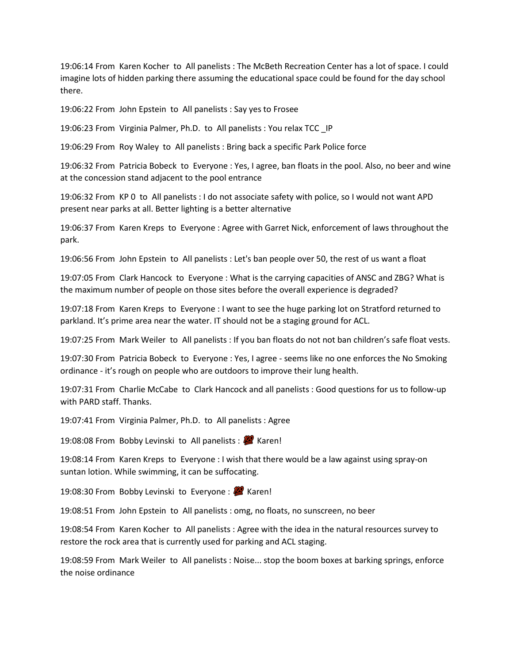19:06:14 From Karen Kocher to All panelists : The McBeth Recreation Center has a lot of space. I could imagine lots of hidden parking there assuming the educational space could be found for the day school there.

19:06:22 From John Epstein to All panelists : Say yes to Frosee

19:06:23 From Virginia Palmer, Ph.D. to All panelists : You relax TCC \_IP

19:06:29 From Roy Waley to All panelists : Bring back a specific Park Police force

19:06:32 From Patricia Bobeck to Everyone : Yes, I agree, ban floats in the pool. Also, no beer and wine at the concession stand adjacent to the pool entrance

19:06:32 From KP 0 to All panelists : I do not associate safety with police, so I would not want APD present near parks at all. Better lighting is a better alternative

19:06:37 From Karen Kreps to Everyone : Agree with Garret Nick, enforcement of laws throughout the park.

19:06:56 From John Epstein to All panelists : Let's ban people over 50, the rest of us want a float

19:07:05 From Clark Hancock to Everyone : What is the carrying capacities of ANSC and ZBG? What is the maximum number of people on those sites before the overall experience is degraded?

19:07:18 From Karen Kreps to Everyone : I want to see the huge parking lot on Stratford returned to parkland. It's prime area near the water. IT should not be a staging ground for ACL.

19:07:25 From Mark Weiler to All panelists : If you ban floats do not not ban children's safe float vests.

19:07:30 From Patricia Bobeck to Everyone : Yes, I agree - seems like no one enforces the No Smoking ordinance - it's rough on people who are outdoors to improve their lung health.

19:07:31 From Charlie McCabe to Clark Hancock and all panelists : Good questions for us to follow-up with PARD staff. Thanks.

19:07:41 From Virginia Palmer, Ph.D. to All panelists : Agree

19:08:08 From Bobby Levinski to All panelists : 4 Karen!

19:08:14 From Karen Kreps to Everyone : I wish that there would be a law against using spray-on suntan lotion. While swimming, it can be suffocating.

19:08:30 From Bobby Levinski to Everyone : **W** Karen!

19:08:51 From John Epstein to All panelists : omg, no floats, no sunscreen, no beer

19:08:54 From Karen Kocher to All panelists : Agree with the idea in the natural resources survey to restore the rock area that is currently used for parking and ACL staging.

19:08:59 From Mark Weiler to All panelists : Noise... stop the boom boxes at barking springs, enforce the noise ordinance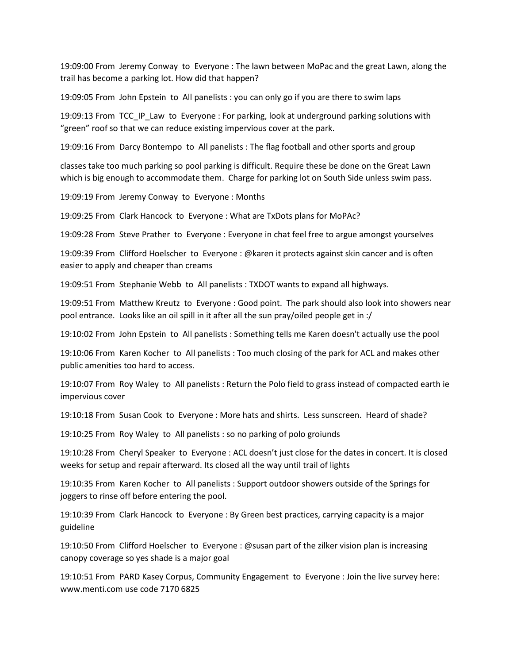19:09:00 From Jeremy Conway to Everyone : The lawn between MoPac and the great Lawn, along the trail has become a parking lot. How did that happen?

19:09:05 From John Epstein to All panelists : you can only go if you are there to swim laps

19:09:13 From TCC IP Law to Everyone : For parking, look at underground parking solutions with "green" roof so that we can reduce existing impervious cover at the park.

19:09:16 From Darcy Bontempo to All panelists : The flag football and other sports and group

classes take too much parking so pool parking is difficult. Require these be done on the Great Lawn which is big enough to accommodate them. Charge for parking lot on South Side unless swim pass.

19:09:19 From Jeremy Conway to Everyone : Months

19:09:25 From Clark Hancock to Everyone : What are TxDots plans for MoPAc?

19:09:28 From Steve Prather to Everyone : Everyone in chat feel free to argue amongst yourselves

19:09:39 From Clifford Hoelscher to Everyone : @karen it protects against skin cancer and is often easier to apply and cheaper than creams

19:09:51 From Stephanie Webb to All panelists : TXDOT wants to expand all highways.

19:09:51 From Matthew Kreutz to Everyone : Good point. The park should also look into showers near pool entrance. Looks like an oil spill in it after all the sun pray/oiled people get in :/

19:10:02 From John Epstein to All panelists : Something tells me Karen doesn't actually use the pool

19:10:06 From Karen Kocher to All panelists : Too much closing of the park for ACL and makes other public amenities too hard to access.

19:10:07 From Roy Waley to All panelists : Return the Polo field to grass instead of compacted earth ie impervious cover

19:10:18 From Susan Cook to Everyone : More hats and shirts. Less sunscreen. Heard of shade?

19:10:25 From Roy Waley to All panelists : so no parking of polo groiunds

19:10:28 From Cheryl Speaker to Everyone : ACL doesn't just close for the dates in concert. It is closed weeks for setup and repair afterward. Its closed all the way until trail of lights

19:10:35 From Karen Kocher to All panelists : Support outdoor showers outside of the Springs for joggers to rinse off before entering the pool.

19:10:39 From Clark Hancock to Everyone : By Green best practices, carrying capacity is a major guideline

19:10:50 From Clifford Hoelscher to Everyone : @susan part of the zilker vision plan is increasing canopy coverage so yes shade is a major goal

19:10:51 From PARD Kasey Corpus, Community Engagement to Everyone : Join the live survey here: www.menti.com use code 7170 6825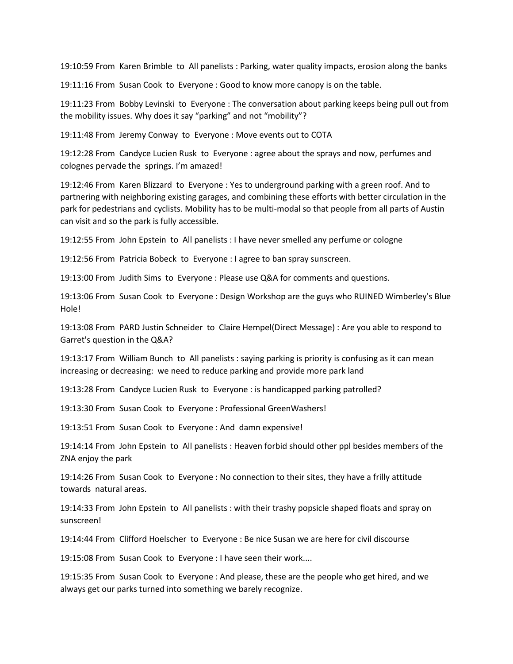19:10:59 From Karen Brimble to All panelists : Parking, water quality impacts, erosion along the banks

19:11:16 From Susan Cook to Everyone : Good to know more canopy is on the table.

19:11:23 From Bobby Levinski to Everyone : The conversation about parking keeps being pull out from the mobility issues. Why does it say "parking" and not "mobility"?

19:11:48 From Jeremy Conway to Everyone : Move events out to COTA

19:12:28 From Candyce Lucien Rusk to Everyone : agree about the sprays and now, perfumes and colognes pervade the springs. I'm amazed!

19:12:46 From Karen Blizzard to Everyone : Yes to underground parking with a green roof. And to partnering with neighboring existing garages, and combining these efforts with better circulation in the park for pedestrians and cyclists. Mobility has to be multi-modal so that people from all parts of Austin can visit and so the park is fully accessible.

19:12:55 From John Epstein to All panelists : I have never smelled any perfume or cologne

19:12:56 From Patricia Bobeck to Everyone : I agree to ban spray sunscreen.

19:13:00 From Judith Sims to Everyone : Please use Q&A for comments and questions.

19:13:06 From Susan Cook to Everyone : Design Workshop are the guys who RUINED Wimberley's Blue Hole!

19:13:08 From PARD Justin Schneider to Claire Hempel(Direct Message) : Are you able to respond to Garret's question in the Q&A?

19:13:17 From William Bunch to All panelists : saying parking is priority is confusing as it can mean increasing or decreasing: we need to reduce parking and provide more park land

19:13:28 From Candyce Lucien Rusk to Everyone : is handicapped parking patrolled?

19:13:30 From Susan Cook to Everyone : Professional GreenWashers!

19:13:51 From Susan Cook to Everyone : And damn expensive!

19:14:14 From John Epstein to All panelists : Heaven forbid should other ppl besides members of the ZNA enjoy the park

19:14:26 From Susan Cook to Everyone : No connection to their sites, they have a frilly attitude towards natural areas.

19:14:33 From John Epstein to All panelists : with their trashy popsicle shaped floats and spray on sunscreen!

19:14:44 From Clifford Hoelscher to Everyone : Be nice Susan we are here for civil discourse

19:15:08 From Susan Cook to Everyone : I have seen their work....

19:15:35 From Susan Cook to Everyone : And please, these are the people who get hired, and we always get our parks turned into something we barely recognize.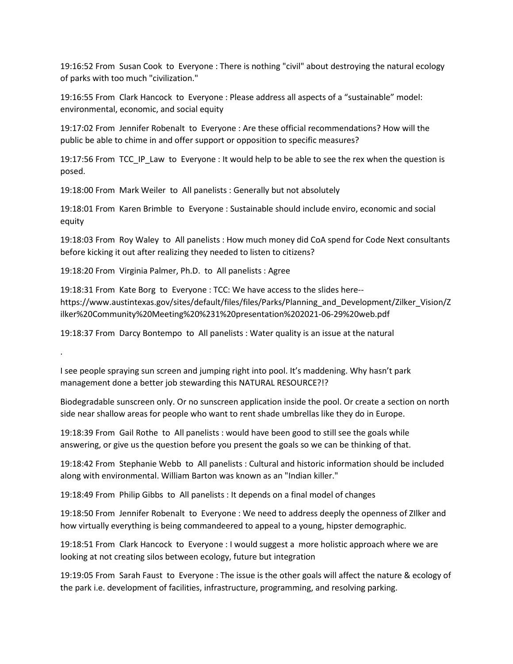19:16:52 From Susan Cook to Everyone : There is nothing "civil" about destroying the natural ecology of parks with too much "civilization."

19:16:55 From Clark Hancock to Everyone : Please address all aspects of a "sustainable" model: environmental, economic, and social equity

19:17:02 From Jennifer Robenalt to Everyone : Are these official recommendations? How will the public be able to chime in and offer support or opposition to specific measures?

19:17:56 From TCC\_IP\_Law to Everyone : It would help to be able to see the rex when the question is posed.

19:18:00 From Mark Weiler to All panelists : Generally but not absolutely

19:18:01 From Karen Brimble to Everyone : Sustainable should include enviro, economic and social equity

19:18:03 From Roy Waley to All panelists : How much money did CoA spend for Code Next consultants before kicking it out after realizing they needed to listen to citizens?

19:18:20 From Virginia Palmer, Ph.D. to All panelists : Agree

.

19:18:31 From Kate Borg to Everyone : TCC: We have access to the slides here- https://www.austintexas.gov/sites/default/files/files/Parks/Planning\_and\_Development/Zilker\_Vision/Z ilker%20Community%20Meeting%20%231%20presentation%202021-06-29%20web.pdf

19:18:37 From Darcy Bontempo to All panelists : Water quality is an issue at the natural

I see people spraying sun screen and jumping right into pool. It's maddening. Why hasn't park management done a better job stewarding this NATURAL RESOURCE?!?

Biodegradable sunscreen only. Or no sunscreen application inside the pool. Or create a section on north side near shallow areas for people who want to rent shade umbrellas like they do in Europe.

19:18:39 From Gail Rothe to All panelists : would have been good to still see the goals while answering, or give us the question before you present the goals so we can be thinking of that.

19:18:42 From Stephanie Webb to All panelists : Cultural and historic information should be included along with environmental. William Barton was known as an "Indian killer."

19:18:49 From Philip Gibbs to All panelists : It depends on a final model of changes

19:18:50 From Jennifer Robenalt to Everyone : We need to address deeply the openness of ZIlker and how virtually everything is being commandeered to appeal to a young, hipster demographic.

19:18:51 From Clark Hancock to Everyone : I would suggest a more holistic approach where we are looking at not creating silos between ecology, future but integration

19:19:05 From Sarah Faust to Everyone : The issue is the other goals will affect the nature & ecology of the park i.e. development of facilities, infrastructure, programming, and resolving parking.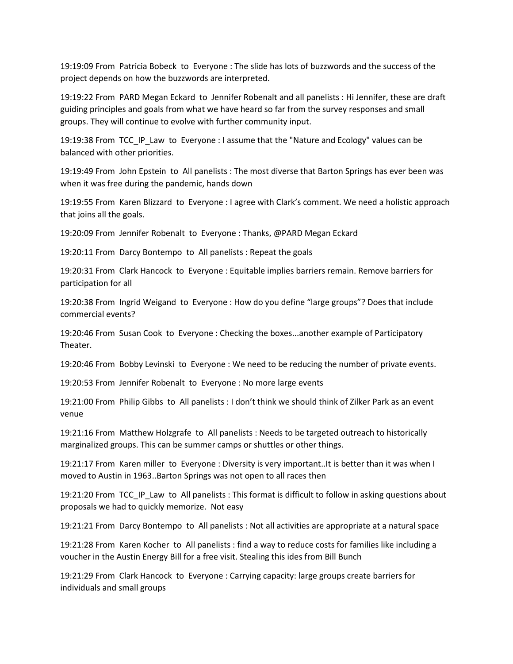19:19:09 From Patricia Bobeck to Everyone : The slide has lots of buzzwords and the success of the project depends on how the buzzwords are interpreted.

19:19:22 From PARD Megan Eckard to Jennifer Robenalt and all panelists : Hi Jennifer, these are draft guiding principles and goals from what we have heard so far from the survey responses and small groups. They will continue to evolve with further community input.

19:19:38 From TCC\_IP\_Law to Everyone : I assume that the "Nature and Ecology" values can be balanced with other priorities.

19:19:49 From John Epstein to All panelists : The most diverse that Barton Springs has ever been was when it was free during the pandemic, hands down

19:19:55 From Karen Blizzard to Everyone : I agree with Clark's comment. We need a holistic approach that joins all the goals.

19:20:09 From Jennifer Robenalt to Everyone : Thanks, @PARD Megan Eckard

19:20:11 From Darcy Bontempo to All panelists : Repeat the goals

19:20:31 From Clark Hancock to Everyone : Equitable implies barriers remain. Remove barriers for participation for all

19:20:38 From Ingrid Weigand to Everyone : How do you define "large groups"? Does that include commercial events?

19:20:46 From Susan Cook to Everyone : Checking the boxes...another example of Participatory Theater.

19:20:46 From Bobby Levinski to Everyone : We need to be reducing the number of private events.

19:20:53 From Jennifer Robenalt to Everyone : No more large events

19:21:00 From Philip Gibbs to All panelists : I don't think we should think of Zilker Park as an event venue

19:21:16 From Matthew Holzgrafe to All panelists : Needs to be targeted outreach to historically marginalized groups. This can be summer camps or shuttles or other things.

19:21:17 From Karen miller to Everyone : Diversity is very important..It is better than it was when I moved to Austin in 1963..Barton Springs was not open to all races then

19:21:20 From TCC IP Law to All panelists : This format is difficult to follow in asking questions about proposals we had to quickly memorize. Not easy

19:21:21 From Darcy Bontempo to All panelists : Not all activities are appropriate at a natural space

19:21:28 From Karen Kocher to All panelists : find a way to reduce costs for families like including a voucher in the Austin Energy Bill for a free visit. Stealing this ides from Bill Bunch

19:21:29 From Clark Hancock to Everyone : Carrying capacity: large groups create barriers for individuals and small groups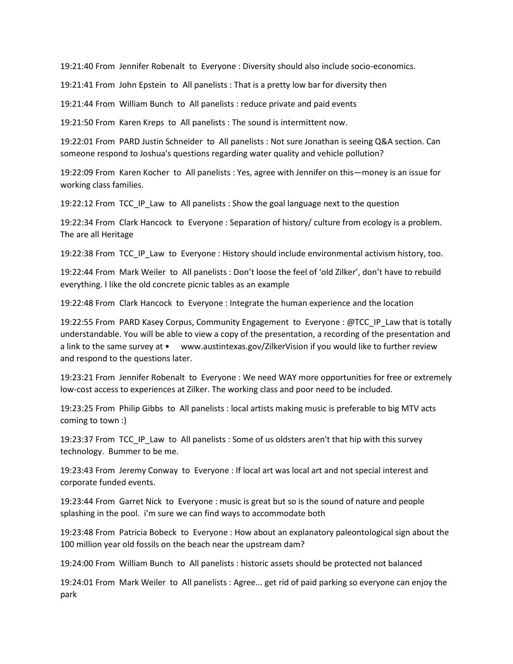19:21:40 From Jennifer Robenalt to Everyone : Diversity should also include socio-economics.

19:21:41 From John Epstein to All panelists : That is a pretty low bar for diversity then

19:21:44 From William Bunch to All panelists : reduce private and paid events

19:21:50 From Karen Kreps to All panelists : The sound is intermittent now.

19:22:01 From PARD Justin Schneider to All panelists : Not sure Jonathan is seeing Q&A section. Can someone respond to Joshua's questions regarding water quality and vehicle pollution?

19:22:09 From Karen Kocher to All panelists : Yes, agree with Jennifer on this—money is an issue for working class families.

19:22:12 From TCC IP Law to All panelists : Show the goal language next to the question

19:22:34 From Clark Hancock to Everyone : Separation of history/ culture from ecology is a problem. The are all Heritage

19:22:38 From TCC\_IP\_Law to Everyone : History should include environmental activism history, too.

19:22:44 From Mark Weiler to All panelists : Don't loose the feel of 'old Zilker', don't have to rebuild everything. I like the old concrete picnic tables as an example

19:22:48 From Clark Hancock to Everyone : Integrate the human experience and the location

19:22:55 From PARD Kasey Corpus, Community Engagement to Everyone : @TCC\_IP\_Law that is totally understandable. You will be able to view a copy of the presentation, a recording of the presentation and a link to the same survey at • www.austintexas.gov/ZilkerVision if you would like to further review and respond to the questions later.

19:23:21 From Jennifer Robenalt to Everyone : We need WAY more opportunities for free or extremely low-cost access to experiences at Zilker. The working class and poor need to be included.

19:23:25 From Philip Gibbs to All panelists : local artists making music is preferable to big MTV acts coming to town :)

19:23:37 From TCC IP Law to All panelists : Some of us oldsters aren't that hip with this survey technology. Bummer to be me.

19:23:43 From Jeremy Conway to Everyone : If local art was local art and not special interest and corporate funded events.

19:23:44 From Garret Nick to Everyone : music is great but so is the sound of nature and people splashing in the pool. i'm sure we can find ways to accommodate both

19:23:48 From Patricia Bobeck to Everyone : How about an explanatory paleontological sign about the 100 million year old fossils on the beach near the upstream dam?

19:24:00 From William Bunch to All panelists : historic assets should be protected not balanced

19:24:01 From Mark Weiler to All panelists : Agree... get rid of paid parking so everyone can enjoy the park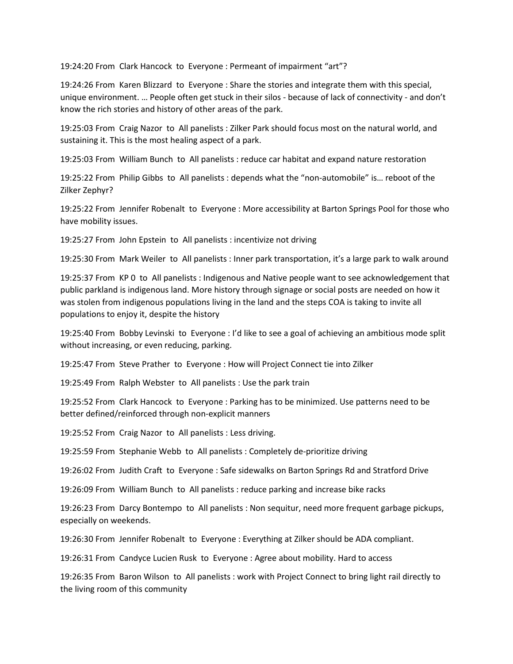19:24:20 From Clark Hancock to Everyone : Permeant of impairment "art"?

19:24:26 From Karen Blizzard to Everyone : Share the stories and integrate them with this special, unique environment. … People often get stuck in their silos - because of lack of connectivity - and don't know the rich stories and history of other areas of the park.

19:25:03 From Craig Nazor to All panelists : Zilker Park should focus most on the natural world, and sustaining it. This is the most healing aspect of a park.

19:25:03 From William Bunch to All panelists : reduce car habitat and expand nature restoration

19:25:22 From Philip Gibbs to All panelists : depends what the "non-automobile" is… reboot of the Zilker Zephyr?

19:25:22 From Jennifer Robenalt to Everyone : More accessibility at Barton Springs Pool for those who have mobility issues.

19:25:27 From John Epstein to All panelists : incentivize not driving

19:25:30 From Mark Weiler to All panelists : Inner park transportation, it's a large park to walk around

19:25:37 From KP 0 to All panelists : Indigenous and Native people want to see acknowledgement that public parkland is indigenous land. More history through signage or social posts are needed on how it was stolen from indigenous populations living in the land and the steps COA is taking to invite all populations to enjoy it, despite the history

19:25:40 From Bobby Levinski to Everyone : I'd like to see a goal of achieving an ambitious mode split without increasing, or even reducing, parking.

19:25:47 From Steve Prather to Everyone : How will Project Connect tie into Zilker

19:25:49 From Ralph Webster to All panelists : Use the park train

19:25:52 From Clark Hancock to Everyone : Parking has to be minimized. Use patterns need to be better defined/reinforced through non-explicit manners

19:25:52 From Craig Nazor to All panelists : Less driving.

19:25:59 From Stephanie Webb to All panelists : Completely de-prioritize driving

19:26:02 From Judith Craft to Everyone : Safe sidewalks on Barton Springs Rd and Stratford Drive

19:26:09 From William Bunch to All panelists : reduce parking and increase bike racks

19:26:23 From Darcy Bontempo to All panelists : Non sequitur, need more frequent garbage pickups, especially on weekends.

19:26:30 From Jennifer Robenalt to Everyone : Everything at Zilker should be ADA compliant.

19:26:31 From Candyce Lucien Rusk to Everyone : Agree about mobility. Hard to access

19:26:35 From Baron Wilson to All panelists : work with Project Connect to bring light rail directly to the living room of this community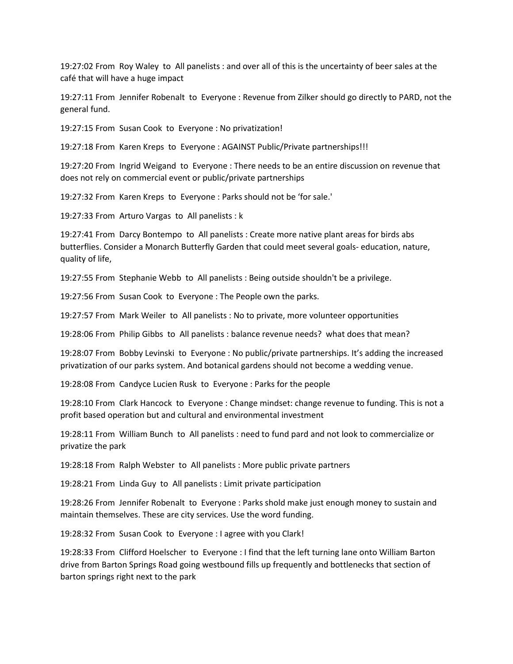19:27:02 From Roy Waley to All panelists : and over all of this is the uncertainty of beer sales at the café that will have a huge impact

19:27:11 From Jennifer Robenalt to Everyone : Revenue from Zilker should go directly to PARD, not the general fund.

19:27:15 From Susan Cook to Everyone : No privatization!

19:27:18 From Karen Kreps to Everyone : AGAINST Public/Private partnerships!!!

19:27:20 From Ingrid Weigand to Everyone : There needs to be an entire discussion on revenue that does not rely on commercial event or public/private partnerships

19:27:32 From Karen Kreps to Everyone : Parks should not be 'for sale.'

19:27:33 From Arturo Vargas to All panelists : k

19:27:41 From Darcy Bontempo to All panelists : Create more native plant areas for birds abs butterflies. Consider a Monarch Butterfly Garden that could meet several goals- education, nature, quality of life,

19:27:55 From Stephanie Webb to All panelists : Being outside shouldn't be a privilege.

19:27:56 From Susan Cook to Everyone : The People own the parks.

19:27:57 From Mark Weiler to All panelists : No to private, more volunteer opportunities

19:28:06 From Philip Gibbs to All panelists : balance revenue needs? what does that mean?

19:28:07 From Bobby Levinski to Everyone : No public/private partnerships. It's adding the increased privatization of our parks system. And botanical gardens should not become a wedding venue.

19:28:08 From Candyce Lucien Rusk to Everyone : Parks for the people

19:28:10 From Clark Hancock to Everyone : Change mindset: change revenue to funding. This is not a profit based operation but and cultural and environmental investment

19:28:11 From William Bunch to All panelists : need to fund pard and not look to commercialize or privatize the park

19:28:18 From Ralph Webster to All panelists : More public private partners

19:28:21 From Linda Guy to All panelists : Limit private participation

19:28:26 From Jennifer Robenalt to Everyone : Parks shold make just enough money to sustain and maintain themselves. These are city services. Use the word funding.

19:28:32 From Susan Cook to Everyone : I agree with you Clark!

19:28:33 From Clifford Hoelscher to Everyone : I find that the left turning lane onto William Barton drive from Barton Springs Road going westbound fills up frequently and bottlenecks that section of barton springs right next to the park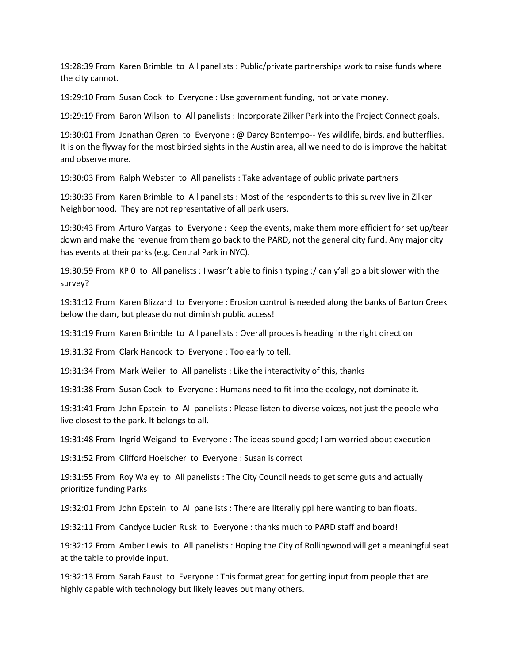19:28:39 From Karen Brimble to All panelists : Public/private partnerships work to raise funds where the city cannot.

19:29:10 From Susan Cook to Everyone : Use government funding, not private money.

19:29:19 From Baron Wilson to All panelists : Incorporate Zilker Park into the Project Connect goals.

19:30:01 From Jonathan Ogren to Everyone : @ Darcy Bontempo-- Yes wildlife, birds, and butterflies. It is on the flyway for the most birded sights in the Austin area, all we need to do is improve the habitat and observe more.

19:30:03 From Ralph Webster to All panelists : Take advantage of public private partners

19:30:33 From Karen Brimble to All panelists : Most of the respondents to this survey live in Zilker Neighborhood. They are not representative of all park users.

19:30:43 From Arturo Vargas to Everyone : Keep the events, make them more efficient for set up/tear down and make the revenue from them go back to the PARD, not the general city fund. Any major city has events at their parks (e.g. Central Park in NYC).

19:30:59 From KP 0 to All panelists : I wasn't able to finish typing :/ can y'all go a bit slower with the survey?

19:31:12 From Karen Blizzard to Everyone : Erosion control is needed along the banks of Barton Creek below the dam, but please do not diminish public access!

19:31:19 From Karen Brimble to All panelists : Overall proces is heading in the right direction

19:31:32 From Clark Hancock to Everyone : Too early to tell.

19:31:34 From Mark Weiler to All panelists : Like the interactivity of this, thanks

19:31:38 From Susan Cook to Everyone : Humans need to fit into the ecology, not dominate it.

19:31:41 From John Epstein to All panelists : Please listen to diverse voices, not just the people who live closest to the park. It belongs to all.

19:31:48 From Ingrid Weigand to Everyone : The ideas sound good; I am worried about execution

19:31:52 From Clifford Hoelscher to Everyone : Susan is correct

19:31:55 From Roy Waley to All panelists : The City Council needs to get some guts and actually prioritize funding Parks

19:32:01 From John Epstein to All panelists : There are literally ppl here wanting to ban floats.

19:32:11 From Candyce Lucien Rusk to Everyone : thanks much to PARD staff and board!

19:32:12 From Amber Lewis to All panelists : Hoping the City of Rollingwood will get a meaningful seat at the table to provide input.

19:32:13 From Sarah Faust to Everyone : This format great for getting input from people that are highly capable with technology but likely leaves out many others.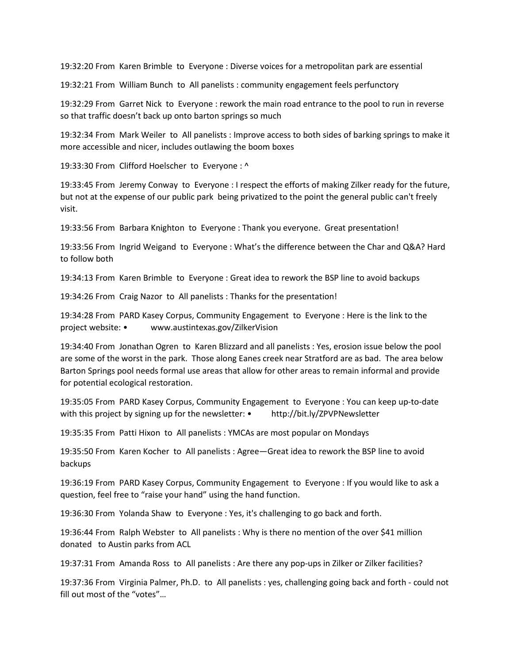19:32:20 From Karen Brimble to Everyone : Diverse voices for a metropolitan park are essential

19:32:21 From William Bunch to All panelists : community engagement feels perfunctory

19:32:29 From Garret Nick to Everyone : rework the main road entrance to the pool to run in reverse so that traffic doesn't back up onto barton springs so much

19:32:34 From Mark Weiler to All panelists : Improve access to both sides of barking springs to make it more accessible and nicer, includes outlawing the boom boxes

19:33:30 From Clifford Hoelscher to Everyone : ^

19:33:45 From Jeremy Conway to Everyone : I respect the efforts of making Zilker ready for the future, but not at the expense of our public park being privatized to the point the general public can't freely visit.

19:33:56 From Barbara Knighton to Everyone : Thank you everyone. Great presentation!

19:33:56 From Ingrid Weigand to Everyone : What's the difference between the Char and Q&A? Hard to follow both

19:34:13 From Karen Brimble to Everyone : Great idea to rework the BSP line to avoid backups

19:34:26 From Craig Nazor to All panelists : Thanks for the presentation!

19:34:28 From PARD Kasey Corpus, Community Engagement to Everyone : Here is the link to the project website: • www.austintexas.gov/ZilkerVision

19:34:40 From Jonathan Ogren to Karen Blizzard and all panelists : Yes, erosion issue below the pool are some of the worst in the park. Those along Eanes creek near Stratford are as bad. The area below Barton Springs pool needs formal use areas that allow for other areas to remain informal and provide for potential ecological restoration.

19:35:05 From PARD Kasey Corpus, Community Engagement to Everyone : You can keep up-to-date with this project by signing up for the newsletter: • http://bit.ly/ZPVPNewsletter

19:35:35 From Patti Hixon to All panelists : YMCAs are most popular on Mondays

19:35:50 From Karen Kocher to All panelists : Agree—Great idea to rework the BSP line to avoid backups

19:36:19 From PARD Kasey Corpus, Community Engagement to Everyone : If you would like to ask a question, feel free to "raise your hand" using the hand function.

19:36:30 From Yolanda Shaw to Everyone : Yes, it's challenging to go back and forth.

19:36:44 From Ralph Webster to All panelists : Why is there no mention of the over \$41 million donated to Austin parks from ACL

19:37:31 From Amanda Ross to All panelists : Are there any pop-ups in Zilker or Zilker facilities?

19:37:36 From Virginia Palmer, Ph.D. to All panelists : yes, challenging going back and forth - could not fill out most of the "votes"…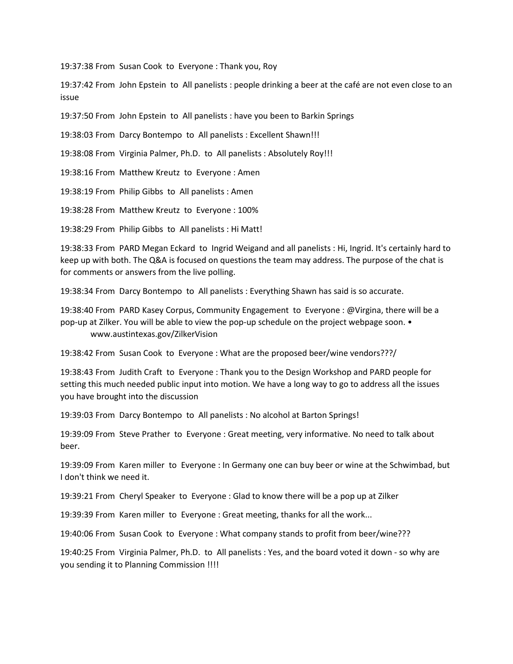19:37:38 From Susan Cook to Everyone : Thank you, Roy

19:37:42 From John Epstein to All panelists : people drinking a beer at the café are not even close to an issue

19:37:50 From John Epstein to All panelists : have you been to Barkin Springs

19:38:03 From Darcy Bontempo to All panelists : Excellent Shawn!!!

19:38:08 From Virginia Palmer, Ph.D. to All panelists : Absolutely Roy!!!

19:38:16 From Matthew Kreutz to Everyone : Amen

19:38:19 From Philip Gibbs to All panelists : Amen

19:38:28 From Matthew Kreutz to Everyone : 100%

19:38:29 From Philip Gibbs to All panelists : Hi Matt!

19:38:33 From PARD Megan Eckard to Ingrid Weigand and all panelists : Hi, Ingrid. It's certainly hard to keep up with both. The Q&A is focused on questions the team may address. The purpose of the chat is for comments or answers from the live polling.

19:38:34 From Darcy Bontempo to All panelists : Everything Shawn has said is so accurate.

19:38:40 From PARD Kasey Corpus, Community Engagement to Everyone : @Virgina, there will be a pop-up at Zilker. You will be able to view the pop-up schedule on the project webpage soon. • www.austintexas.gov/ZilkerVision

19:38:42 From Susan Cook to Everyone : What are the proposed beer/wine vendors???/

19:38:43 From Judith Craft to Everyone : Thank you to the Design Workshop and PARD people for setting this much needed public input into motion. We have a long way to go to address all the issues you have brought into the discussion

19:39:03 From Darcy Bontempo to All panelists : No alcohol at Barton Springs!

19:39:09 From Steve Prather to Everyone : Great meeting, very informative. No need to talk about beer.

19:39:09 From Karen miller to Everyone : In Germany one can buy beer or wine at the Schwimbad, but I don't think we need it.

19:39:21 From Cheryl Speaker to Everyone : Glad to know there will be a pop up at Zilker

19:39:39 From Karen miller to Everyone : Great meeting, thanks for all the work...

19:40:06 From Susan Cook to Everyone : What company stands to profit from beer/wine???

19:40:25 From Virginia Palmer, Ph.D. to All panelists : Yes, and the board voted it down - so why are you sending it to Planning Commission !!!!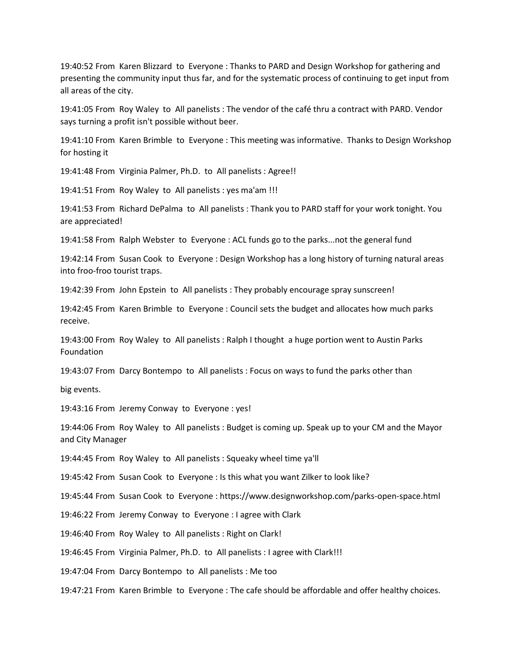19:40:52 From Karen Blizzard to Everyone : Thanks to PARD and Design Workshop for gathering and presenting the community input thus far, and for the systematic process of continuing to get input from all areas of the city.

19:41:05 From Roy Waley to All panelists : The vendor of the café thru a contract with PARD. Vendor says turning a profit isn't possible without beer.

19:41:10 From Karen Brimble to Everyone : This meeting was informative. Thanks to Design Workshop for hosting it

19:41:48 From Virginia Palmer, Ph.D. to All panelists : Agree!!

19:41:51 From Roy Waley to All panelists : yes ma'am !!!

19:41:53 From Richard DePalma to All panelists : Thank you to PARD staff for your work tonight. You are appreciated!

19:41:58 From Ralph Webster to Everyone : ACL funds go to the parks...not the general fund

19:42:14 From Susan Cook to Everyone : Design Workshop has a long history of turning natural areas into froo-froo tourist traps.

19:42:39 From John Epstein to All panelists : They probably encourage spray sunscreen!

19:42:45 From Karen Brimble to Everyone : Council sets the budget and allocates how much parks receive.

19:43:00 From Roy Waley to All panelists : Ralph I thought a huge portion went to Austin Parks Foundation

19:43:07 From Darcy Bontempo to All panelists : Focus on ways to fund the parks other than

big events.

19:43:16 From Jeremy Conway to Everyone : yes!

19:44:06 From Roy Waley to All panelists : Budget is coming up. Speak up to your CM and the Mayor and City Manager

19:44:45 From Roy Waley to All panelists : Squeaky wheel time ya'll

19:45:42 From Susan Cook to Everyone : Is this what you want Zilker to look like?

19:45:44 From Susan Cook to Everyone : https://www.designworkshop.com/parks-open-space.html

19:46:22 From Jeremy Conway to Everyone : I agree with Clark

19:46:40 From Roy Waley to All panelists : Right on Clark!

19:46:45 From Virginia Palmer, Ph.D. to All panelists : I agree with Clark!!!

19:47:04 From Darcy Bontempo to All panelists : Me too

19:47:21 From Karen Brimble to Everyone : The cafe should be affordable and offer healthy choices.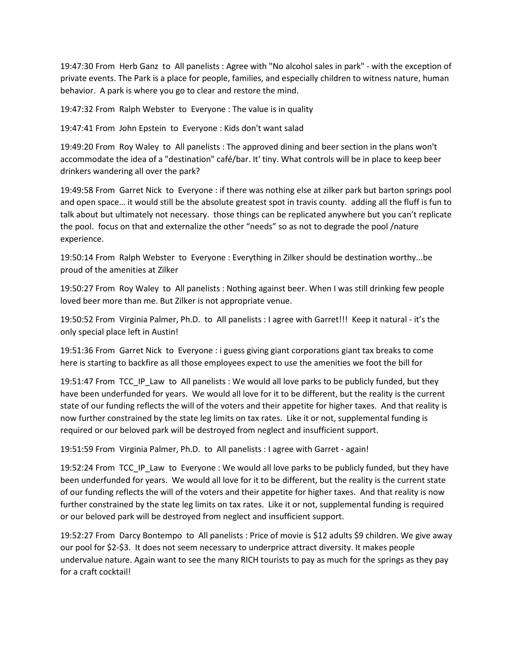19:47:30 From Herb Ganz to All panelists : Agree with "No alcohol sales in park" - with the exception of private events. The Park is a place for people, families, and especially children to witness nature, human behavior. A park is where you go to clear and restore the mind.

19:47:32 From Ralph Webster to Everyone : The value is in quality

19:47:41 From John Epstein to Everyone : Kids don't want salad

19:49:20 From Roy Waley to All panelists : The approved dining and beer section in the plans won't accommodate the idea of a "destination" café/bar. It' tiny. What controls will be in place to keep beer drinkers wandering all over the park?

19:49:58 From Garret Nick to Everyone : if there was nothing else at zilker park but barton springs pool and open space… it would still be the absolute greatest spot in travis county. adding all the fluff is fun to talk about but ultimately not necessary. those things can be replicated anywhere but you can't replicate the pool. focus on that and externalize the other "needs" so as not to degrade the pool /nature experience.

19:50:14 From Ralph Webster to Everyone : Everything in Zilker should be destination worthy...be proud of the amenities at Zilker

19:50:27 From Roy Waley to All panelists : Nothing against beer. When I was still drinking few people loved beer more than me. But Zilker is not appropriate venue.

19:50:52 From Virginia Palmer, Ph.D. to All panelists : I agree with Garret!!! Keep it natural - it's the only special place left in Austin!

19:51:36 From Garret Nick to Everyone : i guess giving giant corporations giant tax breaks to come here is starting to backfire as all those employees expect to use the amenities we foot the bill for

19:51:47 From TCC\_IP\_Law to All panelists : We would all love parks to be publicly funded, but they have been underfunded for years. We would all love for it to be different, but the reality is the current state of our funding reflects the will of the voters and their appetite for higher taxes. And that reality is now further constrained by the state leg limits on tax rates. Like it or not, supplemental funding is required or our beloved park will be destroyed from neglect and insufficient support.

19:51:59 From Virginia Palmer, Ph.D. to All panelists : I agree with Garret - again!

19:52:24 From TCC\_IP\_Law to Everyone : We would all love parks to be publicly funded, but they have been underfunded for years. We would all love for it to be different, but the reality is the current state of our funding reflects the will of the voters and their appetite for higher taxes. And that reality is now further constrained by the state leg limits on tax rates. Like it or not, supplemental funding is required or our beloved park will be destroyed from neglect and insufficient support.

19:52:27 From Darcy Bontempo to All panelists : Price of movie is \$12 adults \$9 children. We give away our pool for \$2-\$3. It does not seem necessary to underprice attract diversity. It makes people undervalue nature. Again want to see the many RICH tourists to pay as much for the springs as they pay for a craft cocktail!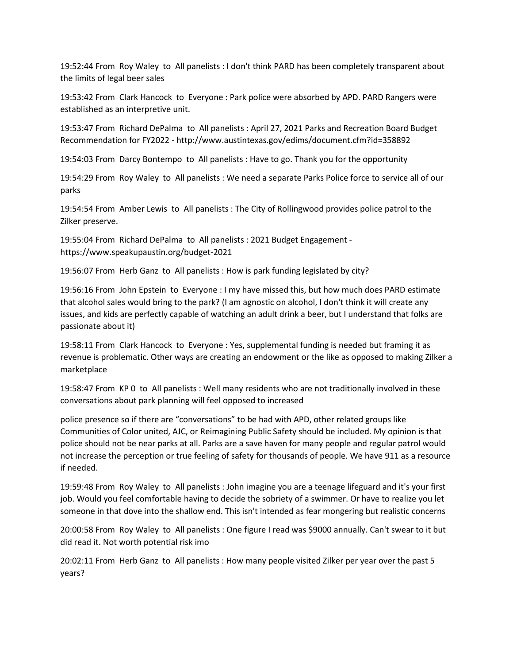19:52:44 From Roy Waley to All panelists : I don't think PARD has been completely transparent about the limits of legal beer sales

19:53:42 From Clark Hancock to Everyone : Park police were absorbed by APD. PARD Rangers were established as an interpretive unit.

19:53:47 From Richard DePalma to All panelists : April 27, 2021 Parks and Recreation Board Budget Recommendation for FY2022 - http://www.austintexas.gov/edims/document.cfm?id=358892

19:54:03 From Darcy Bontempo to All panelists : Have to go. Thank you for the opportunity

19:54:29 From Roy Waley to All panelists : We need a separate Parks Police force to service all of our parks

19:54:54 From Amber Lewis to All panelists : The City of Rollingwood provides police patrol to the Zilker preserve.

19:55:04 From Richard DePalma to All panelists : 2021 Budget Engagement https://www.speakupaustin.org/budget-2021

19:56:07 From Herb Ganz to All panelists : How is park funding legislated by city?

19:56:16 From John Epstein to Everyone : I my have missed this, but how much does PARD estimate that alcohol sales would bring to the park? (I am agnostic on alcohol, I don't think it will create any issues, and kids are perfectly capable of watching an adult drink a beer, but I understand that folks are passionate about it)

19:58:11 From Clark Hancock to Everyone : Yes, supplemental funding is needed but framing it as revenue is problematic. Other ways are creating an endowment or the like as opposed to making Zilker a marketplace

19:58:47 From KP 0 to All panelists : Well many residents who are not traditionally involved in these conversations about park planning will feel opposed to increased

police presence so if there are "conversations" to be had with APD, other related groups like Communities of Color united, AJC, or Reimagining Public Safety should be included. My opinion is that police should not be near parks at all. Parks are a save haven for many people and regular patrol would not increase the perception or true feeling of safety for thousands of people. We have 911 as a resource if needed.

19:59:48 From Roy Waley to All panelists : John imagine you are a teenage lifeguard and it's your first job. Would you feel comfortable having to decide the sobriety of a swimmer. Or have to realize you let someone in that dove into the shallow end. This isn't intended as fear mongering but realistic concerns

20:00:58 From Roy Waley to All panelists : One figure I read was \$9000 annually. Can't swear to it but did read it. Not worth potential risk imo

20:02:11 From Herb Ganz to All panelists : How many people visited Zilker per year over the past 5 years?